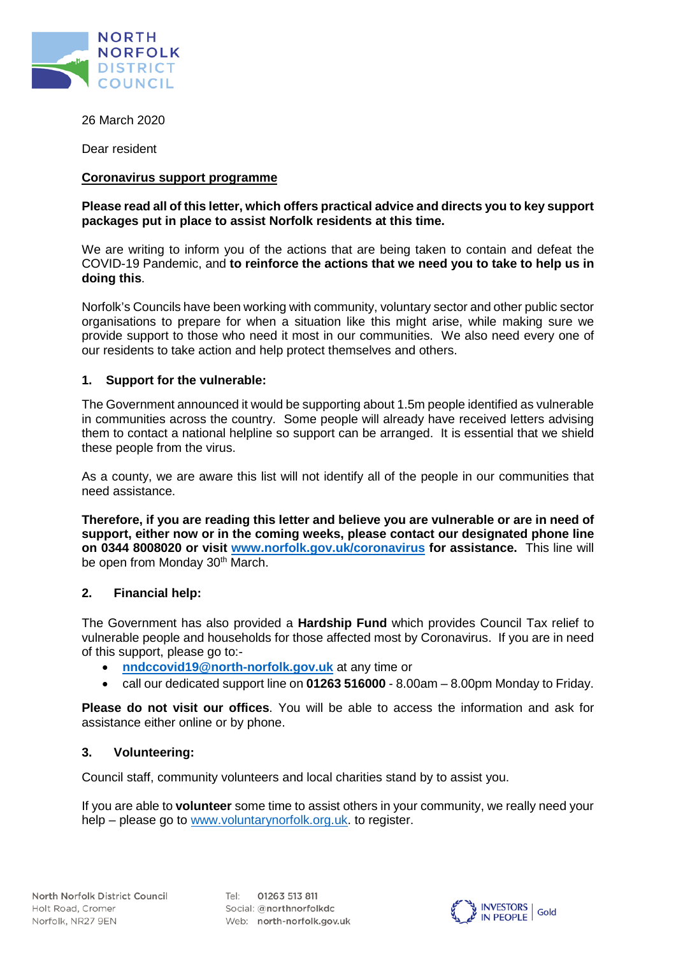

26 March 2020

Dear resident

## **Coronavirus support programme**

# **Please read all of this letter, which offers practical advice and directs you to key support packages put in place to assist Norfolk residents at this time.**

We are writing to inform you of the actions that are being taken to contain and defeat the COVID-19 Pandemic, and **to reinforce the actions that we need you to take to help us in doing this**.

Norfolk's Councils have been working with community, voluntary sector and other public sector organisations to prepare for when a situation like this might arise, while making sure we provide support to those who need it most in our communities. We also need every one of our residents to take action and help protect themselves and others.

## **1. Support for the vulnerable:**

The Government announced it would be supporting about 1.5m people identified as vulnerable in communities across the country. Some people will already have received letters advising them to contact a national helpline so support can be arranged. It is essential that we shield these people from the virus.

As a county, we are aware this list will not identify all of the people in our communities that need assistance.

**Therefore, if you are reading this letter and believe you are vulnerable or are in need of support, either now or in the coming weeks, please contact our designated phone line on 0344 8008020 or visit [www.norfolk.gov.uk/](http://www.norfolk.gov.uk/)coronavirus for assistance.** This line will be open from Monday 30<sup>th</sup> March.

# **2. Financial help:**

The Government has also provided a **Hardship Fund** which provides Council Tax relief to vulnerable people and households for those affected most by Coronavirus. If you are in need of this support, please go to:-

- **[nndccovid19@north-norfolk.gov.uk](mailto:nndccovid19@north-norfolk.gov.uk)** at any time or
- call our dedicated support line on **01263 516000** 8.00am 8.00pm Monday to Friday.

**Please do not visit our offices**. You will be able to access the information and ask for assistance either online or by phone.

# **3. Volunteering:**

Council staff, community volunteers and local charities stand by to assist you.

If you are able to **volunteer** some time to assist others in your community, we really need your help – please go to [www.voluntarynorfolk.org.uk.](http://www.voluntarynorfolk.org.uk/) to register.